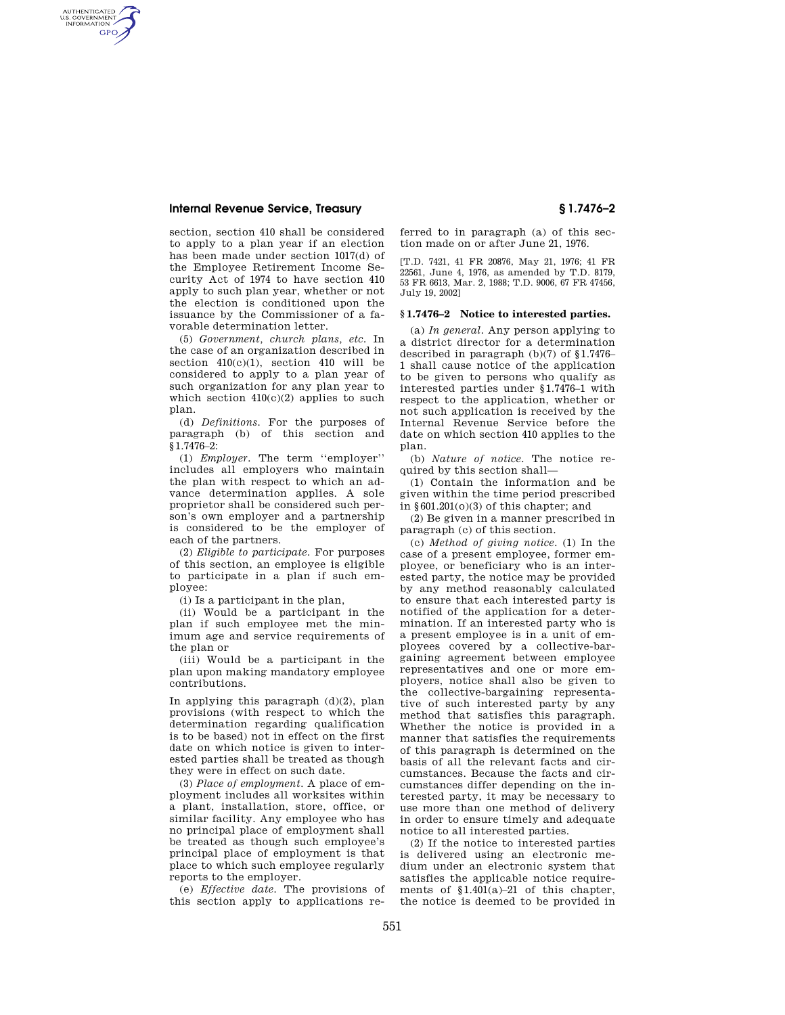## **Internal Revenue Service, Treasury § 1.7476–2**

AUTHENTICATED<br>U.S. GOVERNMENT<br>INFORMATION **GPO** 

> section, section 410 shall be considered to apply to a plan year if an election has been made under section 1017(d) of the Employee Retirement Income Security Act of 1974 to have section 410 apply to such plan year, whether or not the election is conditioned upon the issuance by the Commissioner of a favorable determination letter.

> (5) *Government, church plans, etc.* In the case of an organization described in section 410(c)(1), section 410 will be considered to apply to a plan year of such organization for any plan year to which section  $410(c)(2)$  applies to such plan.

> (d) *Definitions.* For the purposes of paragraph (b) of this section and §1.7476–2:

> (1) *Employer.* The term ''employer'' includes all employers who maintain the plan with respect to which an advance determination applies. A sole proprietor shall be considered such person's own employer and a partnership is considered to be the employer of each of the partners.

> (2) *Eligible to participate.* For purposes of this section, an employee is eligible to participate in a plan if such employee:

(i) Is a participant in the plan,

(ii) Would be a participant in the plan if such employee met the minimum age and service requirements of the plan or

(iii) Would be a participant in the plan upon making mandatory employee contributions.

In applying this paragraph  $(d)(2)$ , plan provisions (with respect to which the determination regarding qualification is to be based) not in effect on the first date on which notice is given to interested parties shall be treated as though they were in effect on such date.

(3) *Place of employment.* A place of employment includes all worksites within a plant, installation, store, office, or similar facility. Any employee who has no principal place of employment shall be treated as though such employee's principal place of employment is that place to which such employee regularly reports to the employer.

(e) *Effective date.* The provisions of this section apply to applications referred to in paragraph (a) of this section made on or after June 21, 1976.

[T.D. 7421, 41 FR 20876, May 21, 1976; 41 FR 22561, June 4, 1976, as amended by T.D. 8179, 53 FR 6613, Mar. 2, 1988; T.D. 9006, 67 FR 47456, July 19, 2002]

## **§ 1.7476–2 Notice to interested parties.**

(a) *In general.* Any person applying to a district director for a determination described in paragraph (b)(7) of §1.7476– 1 shall cause notice of the application to be given to persons who qualify as interested parties under §1.7476–1 with respect to the application, whether or not such application is received by the Internal Revenue Service before the date on which section 410 applies to the plan.

(b) *Nature of notice.* The notice required by this section shall—

(1) Contain the information and be given within the time period prescribed in §601.201(o)(3) of this chapter; and

(2) Be given in a manner prescribed in paragraph (c) of this section.

(c) *Method of giving notice.* (1) In the case of a present employee, former employee, or beneficiary who is an interested party, the notice may be provided by any method reasonably calculated to ensure that each interested party is notified of the application for a determination. If an interested party who is a present employee is in a unit of employees covered by a collective-bargaining agreement between employee representatives and one or more employers, notice shall also be given to the collective-bargaining representative of such interested party by any method that satisfies this paragraph. Whether the notice is provided in a manner that satisfies the requirements of this paragraph is determined on the basis of all the relevant facts and circumstances. Because the facts and circumstances differ depending on the interested party, it may be necessary to use more than one method of delivery in order to ensure timely and adequate notice to all interested parties.

(2) If the notice to interested parties is delivered using an electronic medium under an electronic system that satisfies the applicable notice requirements of §1.401(a)–21 of this chapter, the notice is deemed to be provided in